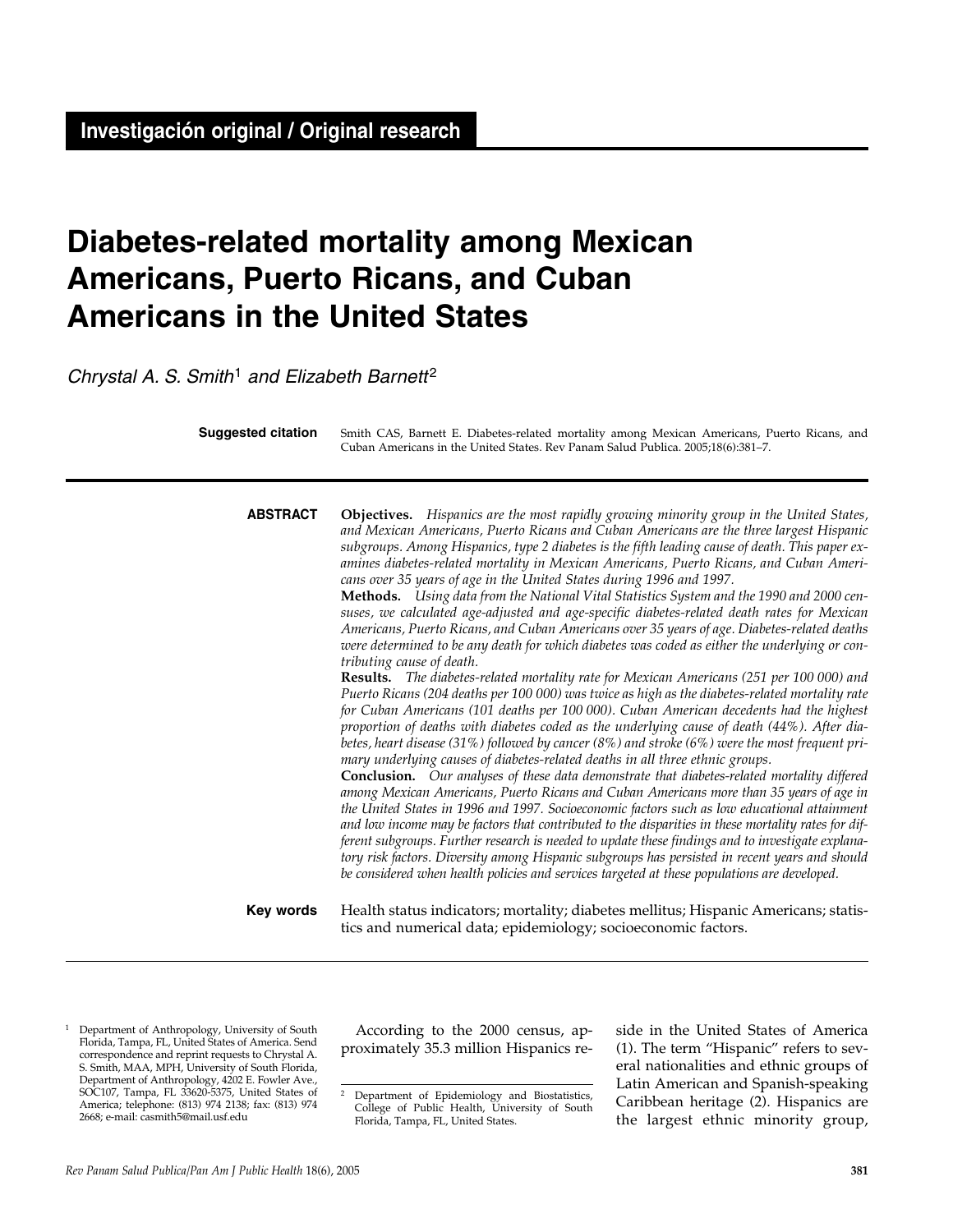# **Diabetes-related mortality among Mexican Americans, Puerto Ricans, and Cuban Americans in the United States**

Chrystal A. S. Smith<sup>1</sup> and Elizabeth Barnett<sup>2</sup>

Smith CAS, Barnett E. Diabetes-related mortality among Mexican Americans, Puerto Ricans, and Cuban Americans in the United States. Rev Panam Salud Publica. 2005;18(6):381–7. **Suggested citation**

**Objectives.** *Hispanics are the most rapidly growing minority group in the United States, and Mexican Americans, Puerto Ricans and Cuban Americans are the three largest Hispanic subgroups. Among Hispanics, type 2 diabetes is the fifth leading cause of death. This paper examines diabetes-related mortality in Mexican Americans, Puerto Ricans, and Cuban Americans over 35 years of age in the United States during 1996 and 1997.* **ABSTRACT**

> **Methods.** *Using data from the National Vital Statistics System and the 1990 and 2000 censuses, we calculated age-adjusted and age-specific diabetes-related death rates for Mexican Americans, Puerto Ricans, and Cuban Americans over 35 years of age. Diabetes-related deaths were determined to be any death for which diabetes was coded as either the underlying or contributing cause of death.*

> **Results.** *The diabetes-related mortality rate for Mexican Americans (251 per 100 000) and Puerto Ricans (204 deaths per 100 000) was twice as high as the diabetes-related mortality rate for Cuban Americans (101 deaths per 100 000). Cuban American decedents had the highest proportion of deaths with diabetes coded as the underlying cause of death (44%). After diabetes, heart disease (31%) followed by cancer (8%) and stroke (6%) were the most frequent primary underlying causes of diabetes-related deaths in all three ethnic groups.*

> **Conclusion.** *Our analyses of these data demonstrate that diabetes-related mortality differed among Mexican Americans, Puerto Ricans and Cuban Americans more than 35 years of age in the United States in 1996 and 1997. Socioeconomic factors such as low educational attainment and low income may be factors that contributed to the disparities in these mortality rates for different subgroups. Further research is needed to update these findings and to investigate explanatory risk factors. Diversity among Hispanic subgroups has persisted in recent years and should be considered when health policies and services targeted at these populations are developed.*

Health status indicators; mortality; diabetes mellitus; Hispanic Americans; statistics and numerical data; epidemiology; socioeconomic factors. **Key words**

<sup>1</sup> Department of Anthropology, University of South Florida, Tampa, FL, United States of America. Send correspondence and reprint requests to Chrystal A. S. Smith, MAA, MPH, University of South Florida, Department of Anthropology, 4202 E. Fowler Ave., SOC107, Tampa, FL 33620-5375, United States of America; telephone: (813) 974 2138; fax: (813) 974 2668; e-mail: casmith5@mail.usf.edu

According to the 2000 census, approximately 35.3 million Hispanics reside in the United States of America (1). The term "Hispanic" refers to several nationalities and ethnic groups of Latin American and Spanish-speaking Caribbean heritage (2). Hispanics are the largest ethnic minority group,

<sup>2</sup> Department of Epidemiology and Biostatistics, College of Public Health, University of South Florida, Tampa, FL, United States.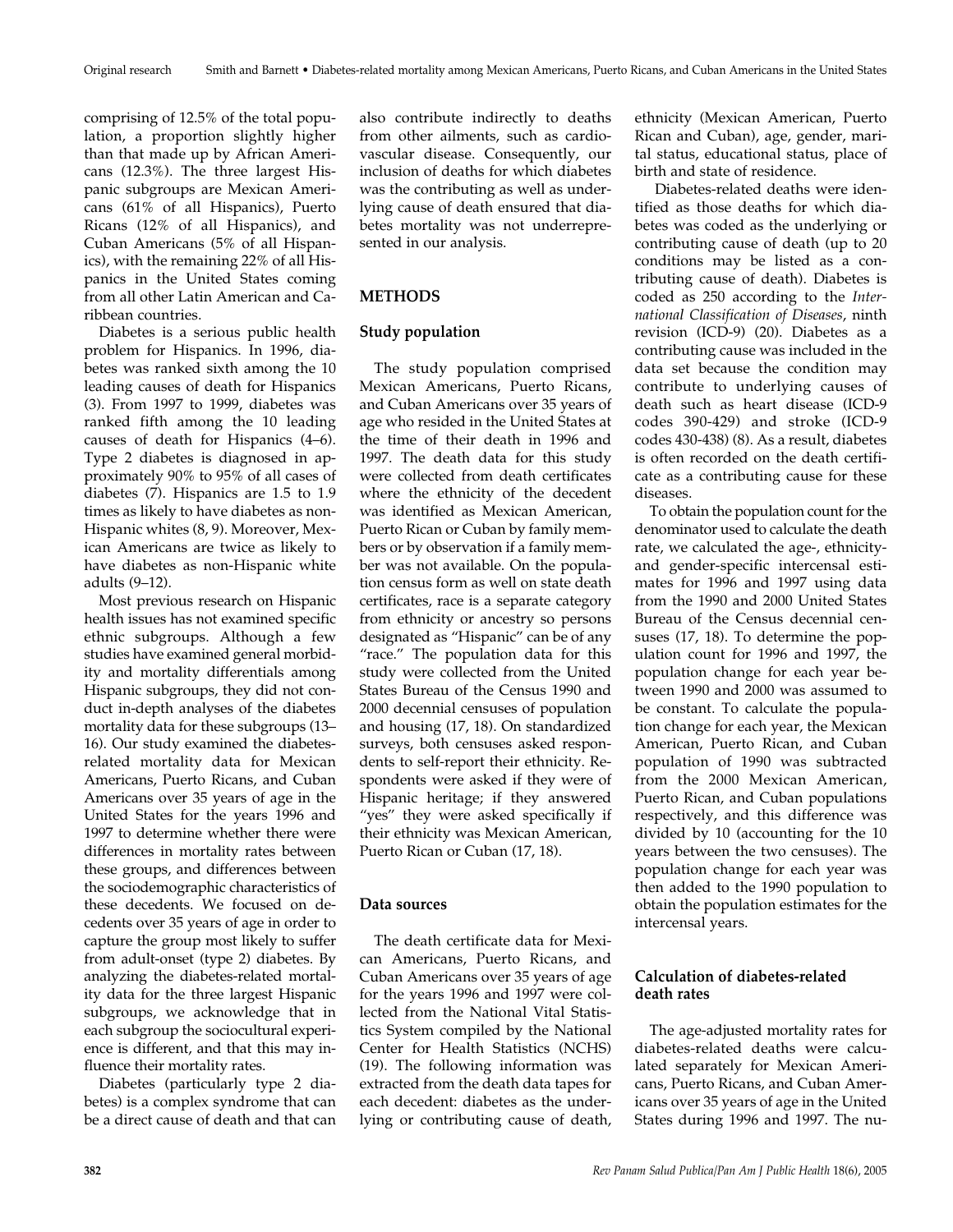Original research Smith and Barnett • Diabetes-related mortality among Mexican Americans, Puerto Ricans, and Cuban Americans in the United States

comprising of 12.5% of the total population, a proportion slightly higher than that made up by African Americans (12.3%). The three largest Hispanic subgroups are Mexican Americans (61% of all Hispanics), Puerto Ricans (12% of all Hispanics), and Cuban Americans (5% of all Hispanics), with the remaining 22% of all Hispanics in the United States coming from all other Latin American and Caribbean countries.

Diabetes is a serious public health problem for Hispanics. In 1996, diabetes was ranked sixth among the 10 leading causes of death for Hispanics (3). From 1997 to 1999, diabetes was ranked fifth among the 10 leading causes of death for Hispanics (4–6). Type 2 diabetes is diagnosed in approximately 90% to 95% of all cases of diabetes (7). Hispanics are 1.5 to 1.9 times as likely to have diabetes as non-Hispanic whites (8, 9). Moreover, Mexican Americans are twice as likely to have diabetes as non-Hispanic white adults (9–12).

Most previous research on Hispanic health issues has not examined specific ethnic subgroups. Although a few studies have examined general morbidity and mortality differentials among Hispanic subgroups, they did not conduct in-depth analyses of the diabetes mortality data for these subgroups (13– 16). Our study examined the diabetesrelated mortality data for Mexican Americans, Puerto Ricans, and Cuban Americans over 35 years of age in the United States for the years 1996 and 1997 to determine whether there were differences in mortality rates between these groups, and differences between the sociodemographic characteristics of these decedents. We focused on decedents over 35 years of age in order to capture the group most likely to suffer from adult-onset (type 2) diabetes. By analyzing the diabetes-related mortality data for the three largest Hispanic subgroups, we acknowledge that in each subgroup the sociocultural experience is different, and that this may influence their mortality rates.

Diabetes (particularly type 2 diabetes) is a complex syndrome that can be a direct cause of death and that can also contribute indirectly to deaths from other ailments, such as cardiovascular disease. Consequently, our inclusion of deaths for which diabetes was the contributing as well as underlying cause of death ensured that diabetes mortality was not underrepresented in our analysis.

# **METHODS**

#### **Study population**

The study population comprised Mexican Americans, Puerto Ricans, and Cuban Americans over 35 years of age who resided in the United States at the time of their death in 1996 and 1997. The death data for this study were collected from death certificates where the ethnicity of the decedent was identified as Mexican American, Puerto Rican or Cuban by family members or by observation if a family member was not available. On the population census form as well on state death certificates, race is a separate category from ethnicity or ancestry so persons designated as "Hispanic" can be of any "race." The population data for this study were collected from the United States Bureau of the Census 1990 and 2000 decennial censuses of population and housing (17, 18). On standardized surveys, both censuses asked respondents to self-report their ethnicity. Respondents were asked if they were of Hispanic heritage; if they answered "yes" they were asked specifically if their ethnicity was Mexican American, Puerto Rican or Cuban (17, 18).

#### **Data sources**

The death certificate data for Mexican Americans, Puerto Ricans, and Cuban Americans over 35 years of age for the years 1996 and 1997 were collected from the National Vital Statistics System compiled by the National Center for Health Statistics (NCHS) (19). The following information was extracted from the death data tapes for each decedent: diabetes as the underlying or contributing cause of death,

ethnicity (Mexican American, Puerto Rican and Cuban), age, gender, marital status, educational status, place of birth and state of residence.

Diabetes-related deaths were identified as those deaths for which diabetes was coded as the underlying or contributing cause of death (up to 20 conditions may be listed as a contributing cause of death). Diabetes is coded as 250 according to the *International Classification of Diseases*, ninth revision (ICD-9) (20). Diabetes as a contributing cause was included in the data set because the condition may contribute to underlying causes of death such as heart disease (ICD-9 codes 390-429) and stroke (ICD-9 codes 430-438) (8). As a result, diabetes is often recorded on the death certificate as a contributing cause for these diseases.

To obtain the population count for the denominator used to calculate the death rate, we calculated the age-, ethnicityand gender-specific intercensal estimates for 1996 and 1997 using data from the 1990 and 2000 United States Bureau of the Census decennial censuses (17, 18). To determine the population count for 1996 and 1997, the population change for each year between 1990 and 2000 was assumed to be constant. To calculate the population change for each year, the Mexican American, Puerto Rican, and Cuban population of 1990 was subtracted from the 2000 Mexican American, Puerto Rican, and Cuban populations respectively, and this difference was divided by 10 (accounting for the 10 years between the two censuses). The population change for each year was then added to the 1990 population to obtain the population estimates for the intercensal years.

# **Calculation of diabetes-related death rates**

The age-adjusted mortality rates for diabetes-related deaths were calculated separately for Mexican Americans, Puerto Ricans, and Cuban Americans over 35 years of age in the United States during 1996 and 1997. The nu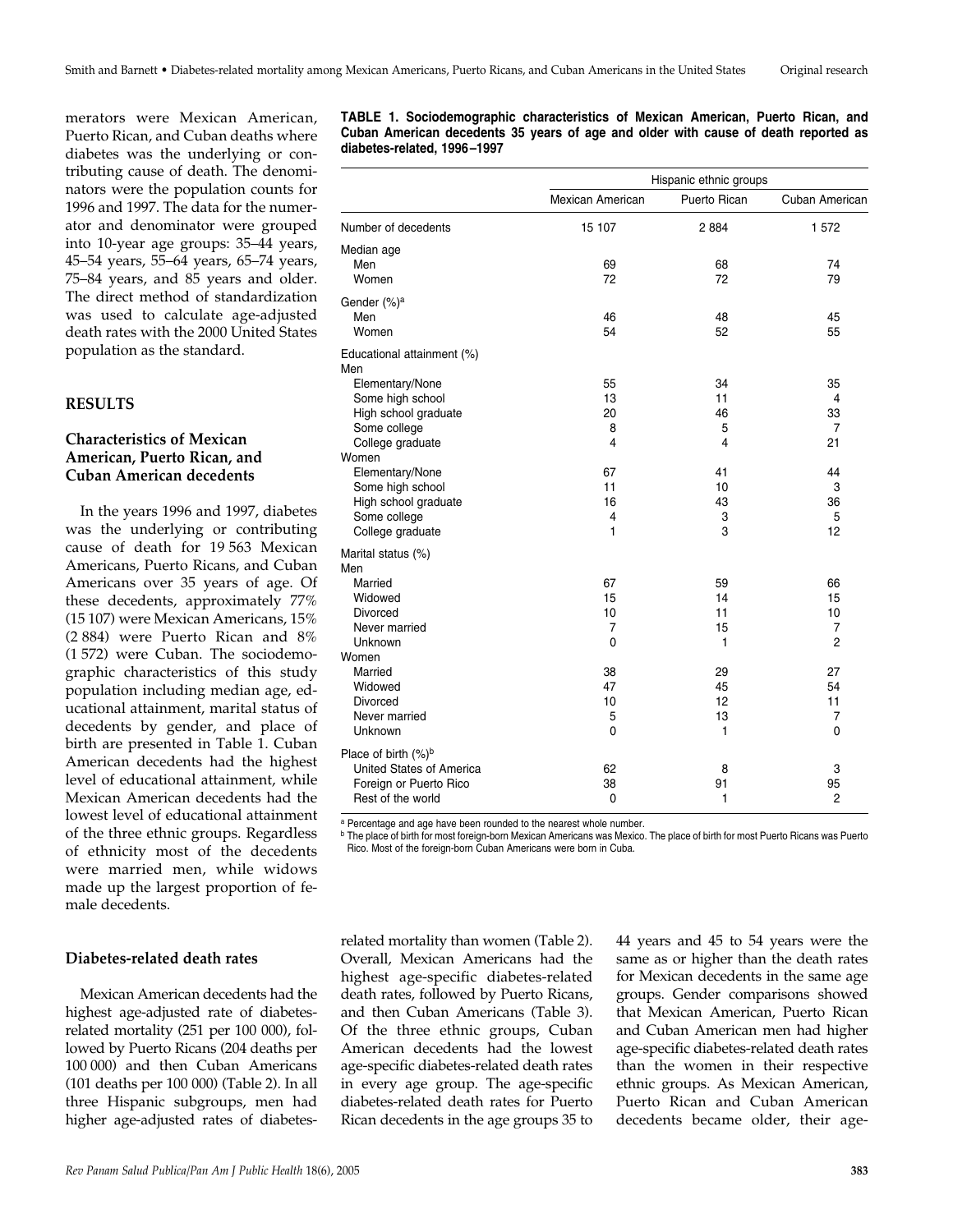merators were Mexican American, Puerto Rican, and Cuban deaths where diabetes was the underlying or contributing cause of death. The denominators were the population counts for 1996 and 1997. The data for the numerator and denominator were grouped into 10-year age groups: 35–44 years, 45–54 years, 55–64 years, 65–74 years, 75–84 years, and 85 years and older. The direct method of standardization was used to calculate age-adjusted death rates with the 2000 United States population as the standard.

#### **RESULTS**

# **Characteristics of Mexican American, Puerto Rican, and Cuban American decedents**

In the years 1996 and 1997, diabetes was the underlying or contributing cause of death for 19 563 Mexican Americans, Puerto Ricans, and Cuban Americans over 35 years of age. Of these decedents, approximately 77% (15 107) were Mexican Americans, 15% (2 884) were Puerto Rican and 8% (1 572) were Cuban. The sociodemographic characteristics of this study population including median age, educational attainment, marital status of decedents by gender, and place of birth are presented in Table 1. Cuban American decedents had the highest level of educational attainment, while Mexican American decedents had the lowest level of educational attainment of the three ethnic groups. Regardless of ethnicity most of the decedents were married men, while widows made up the largest proportion of female decedents.

### **Diabetes-related death rates**

Mexican American decedents had the highest age-adjusted rate of diabetesrelated mortality (251 per 100 000), followed by Puerto Ricans (204 deaths per 100 000) and then Cuban Americans (101 deaths per 100 000) (Table 2). In all three Hispanic subgroups, men had higher age-adjusted rates of diabetes**TABLE 1. Sociodemographic characteristics of Mexican American, Puerto Rican, and Cuban American decedents 35 years of age and older with cause of death reported as diabetes-related, 1996–1997**

|                                 | Hispanic ethnic groups  |              |                |  |  |
|---------------------------------|-------------------------|--------------|----------------|--|--|
|                                 | <b>Mexican American</b> | Puerto Rican | Cuban American |  |  |
| Number of decedents             | 15 107                  | 2884         | 1572           |  |  |
| Median age                      |                         |              |                |  |  |
| Men                             | 69                      | 68           | 74             |  |  |
| Women                           | 72                      | 72           | 79             |  |  |
| Gender (%) <sup>a</sup>         |                         |              |                |  |  |
| Men                             | 46                      | 48           | 45             |  |  |
| Women                           | 54                      | 52           | 55             |  |  |
| Educational attainment (%)      |                         |              |                |  |  |
| Men                             | 55                      | 34           | 35             |  |  |
| Elementary/None                 |                         |              | 4              |  |  |
| Some high school                | 13<br>20                | 11<br>46     | 33             |  |  |
| High school graduate            | 8                       | 5            | 7              |  |  |
| Some college                    | 4                       | 4            | 21             |  |  |
| College graduate<br>Women       |                         |              |                |  |  |
| Elementary/None                 | 67                      | 41           | 44             |  |  |
| Some high school                | 11                      | 10           | 3              |  |  |
| High school graduate            | 16                      | 43           | 36             |  |  |
| Some college                    | 4                       | 3            | 5              |  |  |
| College graduate                | 1                       | 3            | 12             |  |  |
| Marital status (%)              |                         |              |                |  |  |
| Men                             |                         |              |                |  |  |
| Married                         | 67                      | 59           | 66             |  |  |
| Widowed                         | 15                      | 14           | 15             |  |  |
| <b>Divorced</b>                 | 10                      | 11           | 10             |  |  |
| Never married                   | 7                       | 15           | 7              |  |  |
| Unknown                         | 0                       | 1            | 2              |  |  |
| Women                           |                         |              |                |  |  |
| Married                         | 38                      | 29           | 27             |  |  |
| Widowed                         | 47                      | 45           | 54             |  |  |
| Divorced                        | 10                      | 12           | 11             |  |  |
| Never married                   | 5                       | 13           | 7              |  |  |
| Unknown                         | 0                       | 1            | 0              |  |  |
| Place of birth (%) <sup>b</sup> |                         |              |                |  |  |
| <b>United States of America</b> | 62                      | 8            | 3              |  |  |
| Foreign or Puerto Rico          | 38                      | 91           | 95             |  |  |
| Rest of the world               | 0                       | 1            | $\overline{2}$ |  |  |
|                                 |                         |              |                |  |  |

a Percentage and age have been rounded to the nearest whole number.

b The place of birth for most foreign-born Mexican Americans was Mexico. The place of birth for most Puerto Ricans was Puerto Rico. Most of the foreign-born Cuban Americans were born in Cuba.

related mortality than women (Table 2). Overall, Mexican Americans had the highest age-specific diabetes-related death rates, followed by Puerto Ricans, and then Cuban Americans (Table 3). Of the three ethnic groups, Cuban American decedents had the lowest age-specific diabetes-related death rates in every age group. The age-specific diabetes-related death rates for Puerto Rican decedents in the age groups 35 to

44 years and 45 to 54 years were the same as or higher than the death rates for Mexican decedents in the same age groups. Gender comparisons showed that Mexican American, Puerto Rican and Cuban American men had higher age-specific diabetes-related death rates than the women in their respective ethnic groups. As Mexican American, Puerto Rican and Cuban American decedents became older, their age-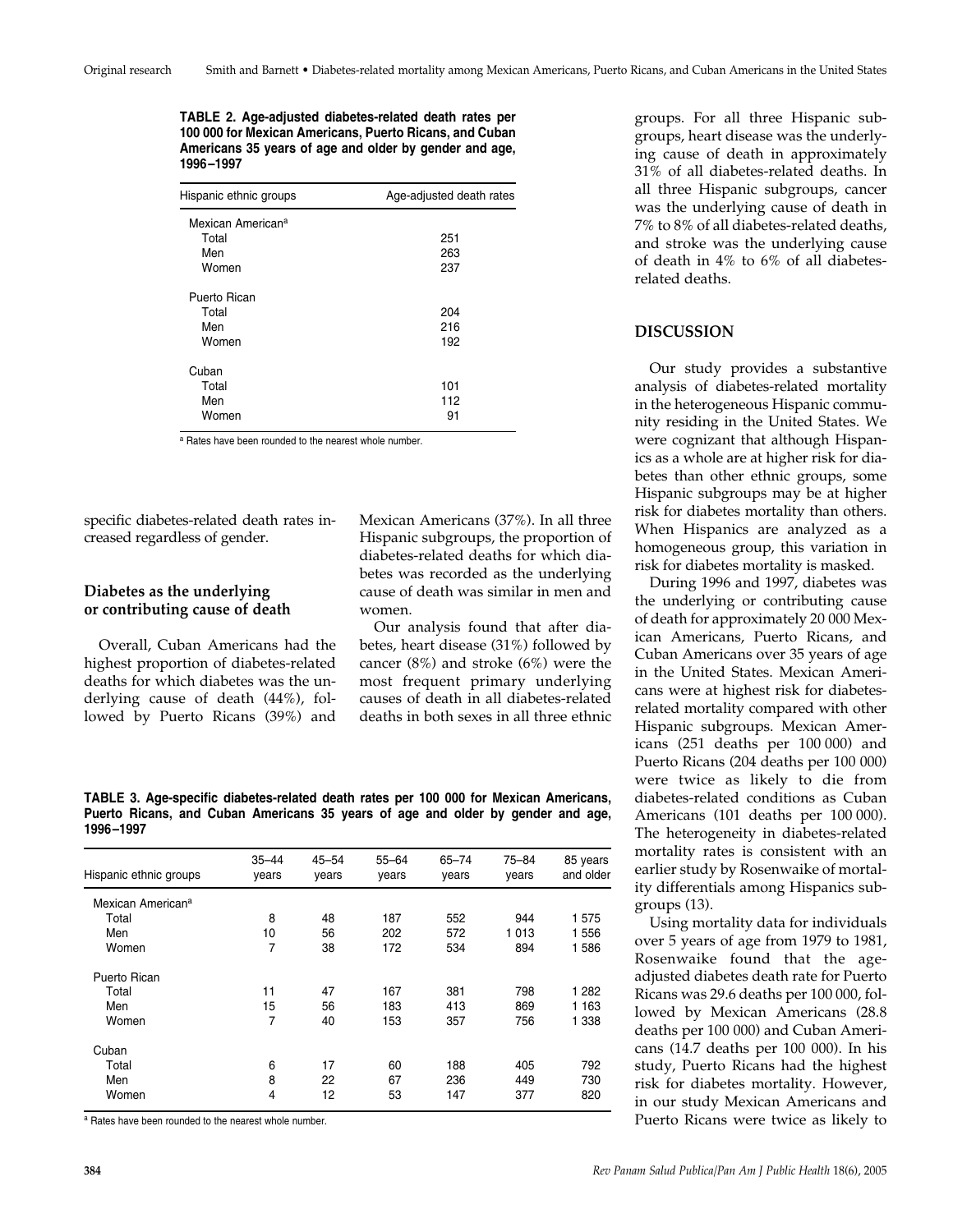**TABLE 2. Age-adjusted diabetes-related death rates per 100 000 for Mexican Americans, Puerto Ricans, and Cuban Americans 35 years of age and older by gender and age, 1996–1997**

| Hispanic ethnic groups        | Age-adjusted death rates |
|-------------------------------|--------------------------|
| Mexican American <sup>a</sup> |                          |
| Total                         | 251                      |
| Men                           | 263                      |
| Women                         | 237                      |
| Puerto Rican                  |                          |
| Total                         | 204                      |
| Men                           | 216                      |
| Women                         | 192                      |
| Cuban                         |                          |
| Total                         | 101                      |
| Men                           | 112                      |
| Women                         | 91                       |
|                               |                          |

<sup>a</sup> Rates have been rounded to the nearest whole number.

specific diabetes-related death rates increased regardless of gender.

#### **Diabetes as the underlying or contributing cause of death**

Overall, Cuban Americans had the highest proportion of diabetes-related deaths for which diabetes was the underlying cause of death (44%), followed by Puerto Ricans (39%) and

Mexican Americans (37%). In all three Hispanic subgroups, the proportion of diabetes-related deaths for which diabetes was recorded as the underlying cause of death was similar in men and women.

Our analysis found that after diabetes, heart disease (31%) followed by cancer (8%) and stroke (6%) were the most frequent primary underlying causes of death in all diabetes-related deaths in both sexes in all three ethnic

**TABLE 3. Age-specific diabetes-related death rates per 100 000 for Mexican Americans, Puerto Ricans, and Cuban Americans 35 years of age and older by gender and age, 1996–1997**

| Hispanic ethnic groups        | $35 - 44$<br>years | $45 - 54$<br>years | $55 - 64$<br>years | $65 - 74$<br>years | $75 - 84$<br>years | 85 years<br>and older |
|-------------------------------|--------------------|--------------------|--------------------|--------------------|--------------------|-----------------------|
| Mexican American <sup>a</sup> |                    |                    |                    |                    |                    |                       |
| Total                         | 8                  | 48                 | 187                | 552                | 944                | 1575                  |
| Men                           | 10                 | 56                 | 202                | 572                | 1013               | 1556                  |
| Women                         | 7                  | 38                 | 172                | 534                | 894                | 586<br>1              |
| Puerto Rican                  |                    |                    |                    |                    |                    |                       |
| Total                         | 11                 | 47                 | 167                | 381                | 798                | 1 2 8 2               |
| Men                           | 15                 | 56                 | 183                | 413                | 869                | 1 1 6 3               |
| Women                         | 7                  | 40                 | 153                | 357                | 756                | 1 3 3 8               |
| Cuban                         |                    |                    |                    |                    |                    |                       |
| Total                         | 6                  | 17                 | 60                 | 188                | 405                | 792                   |
| Men                           | 8                  | 22                 | 67                 | 236                | 449                | 730                   |
| Women                         | 4                  | 12                 | 53                 | 147                | 377                | 820                   |
|                               |                    |                    |                    |                    |                    |                       |

a Rates have been rounded to the nearest whole number.

groups. For all three Hispanic subgroups, heart disease was the underlying cause of death in approximately 31% of all diabetes-related deaths. In all three Hispanic subgroups, cancer was the underlying cause of death in 7% to 8% of all diabetes-related deaths, and stroke was the underlying cause of death in 4% to 6% of all diabetesrelated deaths.

### **DISCUSSION**

Our study provides a substantive analysis of diabetes-related mortality in the heterogeneous Hispanic community residing in the United States. We were cognizant that although Hispanics as a whole are at higher risk for diabetes than other ethnic groups, some Hispanic subgroups may be at higher risk for diabetes mortality than others. When Hispanics are analyzed as a homogeneous group, this variation in risk for diabetes mortality is masked.

During 1996 and 1997, diabetes was the underlying or contributing cause of death for approximately 20 000 Mexican Americans, Puerto Ricans, and Cuban Americans over 35 years of age in the United States. Mexican Americans were at highest risk for diabetesrelated mortality compared with other Hispanic subgroups. Mexican Americans (251 deaths per 100 000) and Puerto Ricans (204 deaths per 100 000) were twice as likely to die from diabetes-related conditions as Cuban Americans (101 deaths per 100 000). The heterogeneity in diabetes-related mortality rates is consistent with an earlier study by Rosenwaike of mortality differentials among Hispanics subgroups (13).

Using mortality data for individuals over 5 years of age from 1979 to 1981, Rosenwaike found that the ageadjusted diabetes death rate for Puerto Ricans was 29.6 deaths per 100 000, followed by Mexican Americans (28.8 deaths per 100 000) and Cuban Americans (14.7 deaths per 100 000). In his study, Puerto Ricans had the highest risk for diabetes mortality. However, in our study Mexican Americans and Puerto Ricans were twice as likely to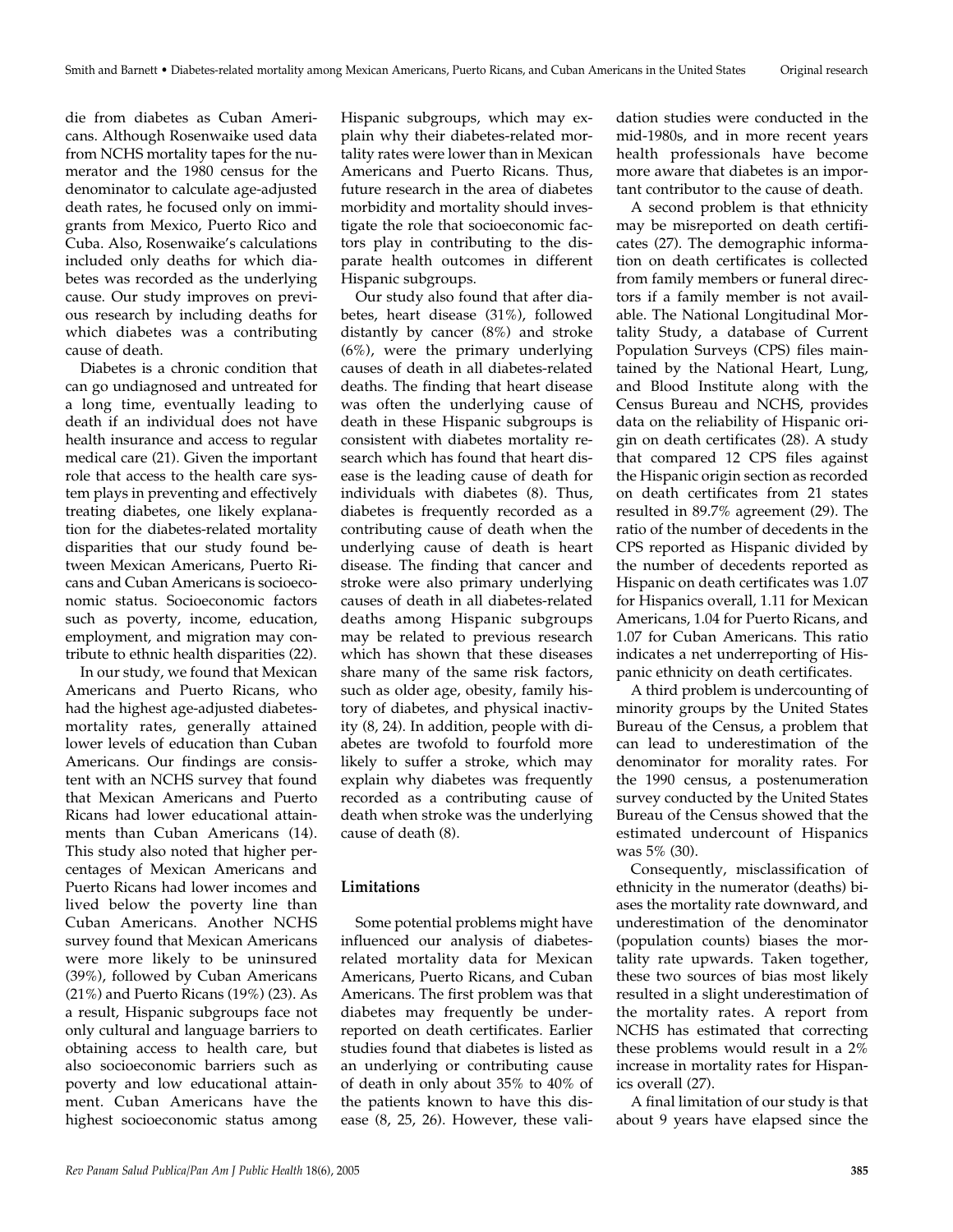die from diabetes as Cuban Americans. Although Rosenwaike used data from NCHS mortality tapes for the numerator and the 1980 census for the denominator to calculate age-adjusted death rates, he focused only on immigrants from Mexico, Puerto Rico and Cuba. Also, Rosenwaike's calculations included only deaths for which diabetes was recorded as the underlying cause. Our study improves on previous research by including deaths for which diabetes was a contributing cause of death.

Diabetes is a chronic condition that can go undiagnosed and untreated for a long time, eventually leading to death if an individual does not have health insurance and access to regular medical care (21). Given the important role that access to the health care system plays in preventing and effectively treating diabetes, one likely explanation for the diabetes-related mortality disparities that our study found between Mexican Americans, Puerto Ricans and Cuban Americans is socioeconomic status. Socioeconomic factors such as poverty, income, education, employment, and migration may contribute to ethnic health disparities (22).

In our study, we found that Mexican Americans and Puerto Ricans, who had the highest age-adjusted diabetesmortality rates, generally attained lower levels of education than Cuban Americans. Our findings are consistent with an NCHS survey that found that Mexican Americans and Puerto Ricans had lower educational attainments than Cuban Americans (14). This study also noted that higher percentages of Mexican Americans and Puerto Ricans had lower incomes and lived below the poverty line than Cuban Americans. Another NCHS survey found that Mexican Americans were more likely to be uninsured (39%), followed by Cuban Americans (21%) and Puerto Ricans (19%) (23). As a result, Hispanic subgroups face not only cultural and language barriers to obtaining access to health care, but also socioeconomic barriers such as poverty and low educational attainment. Cuban Americans have the highest socioeconomic status among

Hispanic subgroups, which may explain why their diabetes-related mortality rates were lower than in Mexican Americans and Puerto Ricans. Thus, future research in the area of diabetes morbidity and mortality should investigate the role that socioeconomic factors play in contributing to the disparate health outcomes in different Hispanic subgroups.

Our study also found that after diabetes, heart disease (31%), followed distantly by cancer (8%) and stroke (6%), were the primary underlying causes of death in all diabetes-related deaths. The finding that heart disease was often the underlying cause of death in these Hispanic subgroups is consistent with diabetes mortality research which has found that heart disease is the leading cause of death for individuals with diabetes (8). Thus, diabetes is frequently recorded as a contributing cause of death when the underlying cause of death is heart disease. The finding that cancer and stroke were also primary underlying causes of death in all diabetes-related deaths among Hispanic subgroups may be related to previous research which has shown that these diseases share many of the same risk factors, such as older age, obesity, family history of diabetes, and physical inactivity (8, 24). In addition, people with diabetes are twofold to fourfold more likely to suffer a stroke, which may explain why diabetes was frequently recorded as a contributing cause of death when stroke was the underlying cause of death (8).

# **Limitations**

Some potential problems might have influenced our analysis of diabetesrelated mortality data for Mexican Americans, Puerto Ricans, and Cuban Americans. The first problem was that diabetes may frequently be underreported on death certificates. Earlier studies found that diabetes is listed as an underlying or contributing cause of death in only about 35% to 40% of the patients known to have this disease (8, 25, 26). However, these validation studies were conducted in the mid-1980s, and in more recent years health professionals have become more aware that diabetes is an important contributor to the cause of death.

A second problem is that ethnicity may be misreported on death certificates (27). The demographic information on death certificates is collected from family members or funeral directors if a family member is not available. The National Longitudinal Mortality Study, a database of Current Population Surveys (CPS) files maintained by the National Heart, Lung, and Blood Institute along with the Census Bureau and NCHS, provides data on the reliability of Hispanic origin on death certificates (28). A study that compared 12 CPS files against the Hispanic origin section as recorded on death certificates from 21 states resulted in 89.7% agreement (29). The ratio of the number of decedents in the CPS reported as Hispanic divided by the number of decedents reported as Hispanic on death certificates was 1.07 for Hispanics overall, 1.11 for Mexican Americans, 1.04 for Puerto Ricans, and 1.07 for Cuban Americans. This ratio indicates a net underreporting of Hispanic ethnicity on death certificates.

A third problem is undercounting of minority groups by the United States Bureau of the Census, a problem that can lead to underestimation of the denominator for morality rates. For the 1990 census, a postenumeration survey conducted by the United States Bureau of the Census showed that the estimated undercount of Hispanics was 5% (30).

Consequently, misclassification of ethnicity in the numerator (deaths) biases the mortality rate downward, and underestimation of the denominator (population counts) biases the mortality rate upwards. Taken together, these two sources of bias most likely resulted in a slight underestimation of the mortality rates. A report from NCHS has estimated that correcting these problems would result in a 2% increase in mortality rates for Hispanics overall (27).

A final limitation of our study is that about 9 years have elapsed since the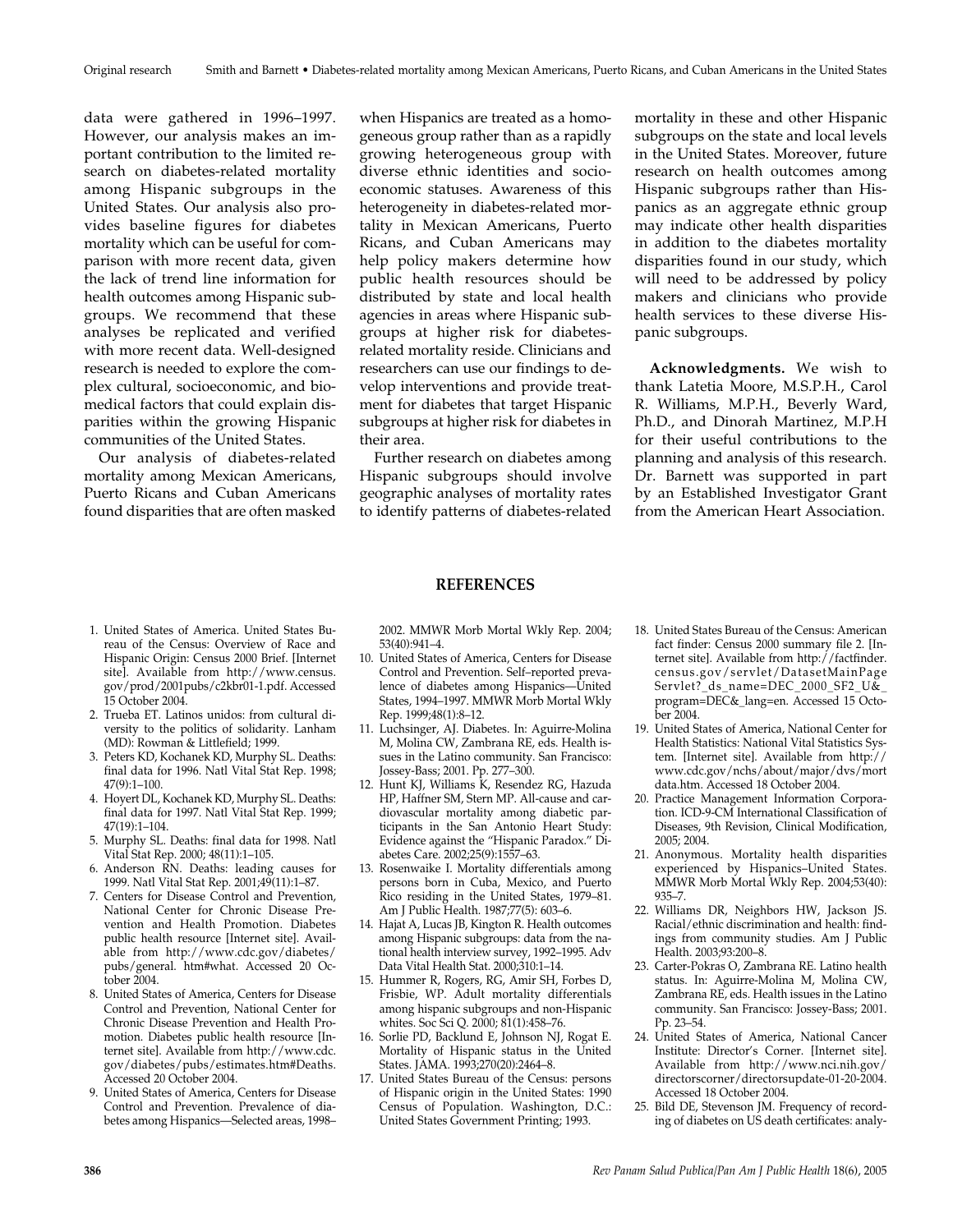data were gathered in 1996–1997. However, our analysis makes an important contribution to the limited research on diabetes-related mortality among Hispanic subgroups in the United States. Our analysis also provides baseline figures for diabetes mortality which can be useful for comparison with more recent data, given the lack of trend line information for health outcomes among Hispanic subgroups. We recommend that these analyses be replicated and verified with more recent data. Well-designed research is needed to explore the complex cultural, socioeconomic, and biomedical factors that could explain disparities within the growing Hispanic communities of the United States.

Our analysis of diabetes-related mortality among Mexican Americans, Puerto Ricans and Cuban Americans found disparities that are often masked

when Hispanics are treated as a homogeneous group rather than as a rapidly growing heterogeneous group with diverse ethnic identities and socioeconomic statuses. Awareness of this heterogeneity in diabetes-related mortality in Mexican Americans, Puerto Ricans, and Cuban Americans may help policy makers determine how public health resources should be distributed by state and local health agencies in areas where Hispanic subgroups at higher risk for diabetesrelated mortality reside. Clinicians and researchers can use our findings to develop interventions and provide treatment for diabetes that target Hispanic subgroups at higher risk for diabetes in their area.

Further research on diabetes among Hispanic subgroups should involve geographic analyses of mortality rates to identify patterns of diabetes-related

mortality in these and other Hispanic subgroups on the state and local levels in the United States. Moreover, future research on health outcomes among Hispanic subgroups rather than Hispanics as an aggregate ethnic group may indicate other health disparities in addition to the diabetes mortality disparities found in our study, which will need to be addressed by policy makers and clinicians who provide health services to these diverse Hispanic subgroups.

**Acknowledgments.** We wish to thank Latetia Moore, M.S.P.H., Carol R. Williams, M.P.H., Beverly Ward, Ph.D., and Dinorah Martinez, M.P.H for their useful contributions to the planning and analysis of this research. Dr. Barnett was supported in part by an Established Investigator Grant from the American Heart Association.

- **REFERENCES**
- 1. United States of America. United States Bureau of the Census: Overview of Race and Hispanic Origin: Census 2000 Brief. [Internet site]. Available from http://www.census. gov/prod/2001pubs/c2kbr01-1.pdf. Accessed 15 October 2004.
- 2. Trueba ET. Latinos unidos: from cultural diversity to the politics of solidarity. Lanham (MD): Rowman & Littlefield; 1999.
- 3. Peters KD, Kochanek KD, Murphy SL. Deaths: final data for 1996. Natl Vital Stat Rep. 1998; 47(9):1–100.
- 4. Hoyert DL, Kochanek KD, Murphy SL. Deaths: final data for 1997. Natl Vital Stat Rep. 1999; 47(19):1–104.
- 5. Murphy SL. Deaths: final data for 1998. Natl Vital Stat Rep. 2000; 48(11):1–105.
- 6. Anderson RN. Deaths: leading causes for 1999. Natl Vital Stat Rep. 2001;49(11):1–87.
- 7. Centers for Disease Control and Prevention, National Center for Chronic Disease Prevention and Health Promotion. Diabetes public health resource [Internet site]. Available from http://www.cdc.gov/diabetes/ pubs/general. htm#what. Accessed 20 October 2004.
- 8. United States of America, Centers for Disease Control and Prevention, National Center for Chronic Disease Prevention and Health Promotion. Diabetes public health resource [Internet site]. Available from http://www.cdc. gov/diabetes/pubs/estimates.htm#Deaths. Accessed 20 October 2004.
- 9. United States of America, Centers for Disease Control and Prevention. Prevalence of diabetes among Hispanics—Selected areas, 1998–

2002. MMWR Morb Mortal Wkly Rep. 2004; 53(40):941–4.

- 10. United States of America, Centers for Disease Control and Prevention. Self–reported prevalence of diabetes among Hispanics—United States, 1994–1997. MMWR Morb Mortal Wkly Rep. 1999;48(1):8–12.
- 11. Luchsinger, AJ. Diabetes. In: Aguirre-Molina M, Molina CW, Zambrana RE, eds. Health issues in the Latino community. San Francisco: Jossey-Bass; 2001. Pp. 277–300.
- 12. Hunt KJ, Williams K, Resendez RG, Hazuda HP, Haffner SM, Stern MP. All-cause and cardiovascular mortality among diabetic participants in the San Antonio Heart Study: Evidence against the "Hispanic Paradox." Diabetes Care. 2002;25(9):1557–63.
- 13. Rosenwaike I. Mortality differentials among persons born in Cuba, Mexico, and Puerto Rico residing in the United States, 1979–81. Am J Public Health. 1987;77(5): 603–6.
- 14. Hajat A, Lucas JB, Kington R. Health outcomes among Hispanic subgroups: data from the national health interview survey, 1992–1995. Adv Data Vital Health Stat. 2000;310:1–14.
- 15. Hummer R, Rogers, RG, Amir SH, Forbes D, Frisbie, WP. Adult mortality differentials among hispanic subgroups and non-Hispanic whites. Soc Sci Q. 2000; 81(1):458–76.
- 16. Sorlie PD, Backlund E, Johnson NJ, Rogat E. Mortality of Hispanic status in the United States. JAMA. 1993;270(20):2464–8.
- 17. United States Bureau of the Census: persons of Hispanic origin in the United States: 1990 Census of Population. Washington, D.C.: United States Government Printing; 1993.
- 18. United States Bureau of the Census: American fact finder: Census 2000 summary file 2. [Internet site]. Available from http://factfinder. census.gov/servlet/DatasetMainPage Servlet?\_ds\_name=DEC\_2000\_SF2\_U&\_ program=DEC&\_lang=en. Accessed 15 October 2004.
- 19. United States of America, National Center for Health Statistics: National Vital Statistics System. [Internet site]. Available from http:// www.cdc.gov/nchs/about/major/dvs/mort data.htm. Accessed 18 October 2004.
- 20. Practice Management Information Corporation. ICD-9-CM International Classification of Diseases, 9th Revision, Clinical Modification, 2005; 2004.
- 21. Anonymous. Mortality health disparities experienced by Hispanics–United States. MMWR Morb Mortal Wkly Rep. 2004;53(40): 935–7.
- 22. Williams DR, Neighbors HW, Jackson JS. Racial/ethnic discrimination and health: findings from community studies. Am J Public Health. 2003;93:200–8.
- 23. Carter-Pokras O, Zambrana RE. Latino health status. In: Aguirre-Molina M, Molina CW, Zambrana RE, eds. Health issues in the Latino community. San Francisco: Jossey-Bass; 2001. Pp. 23–54.
- 24. United States of America, National Cancer Institute: Director's Corner. [Internet site]. Available from http://www.nci.nih.gov/ directorscorner/directorsupdate-01-20-2004. Accessed 18 October 2004.
- 25. Bild DE, Stevenson JM. Frequency of recording of diabetes on US death certificates: analy-